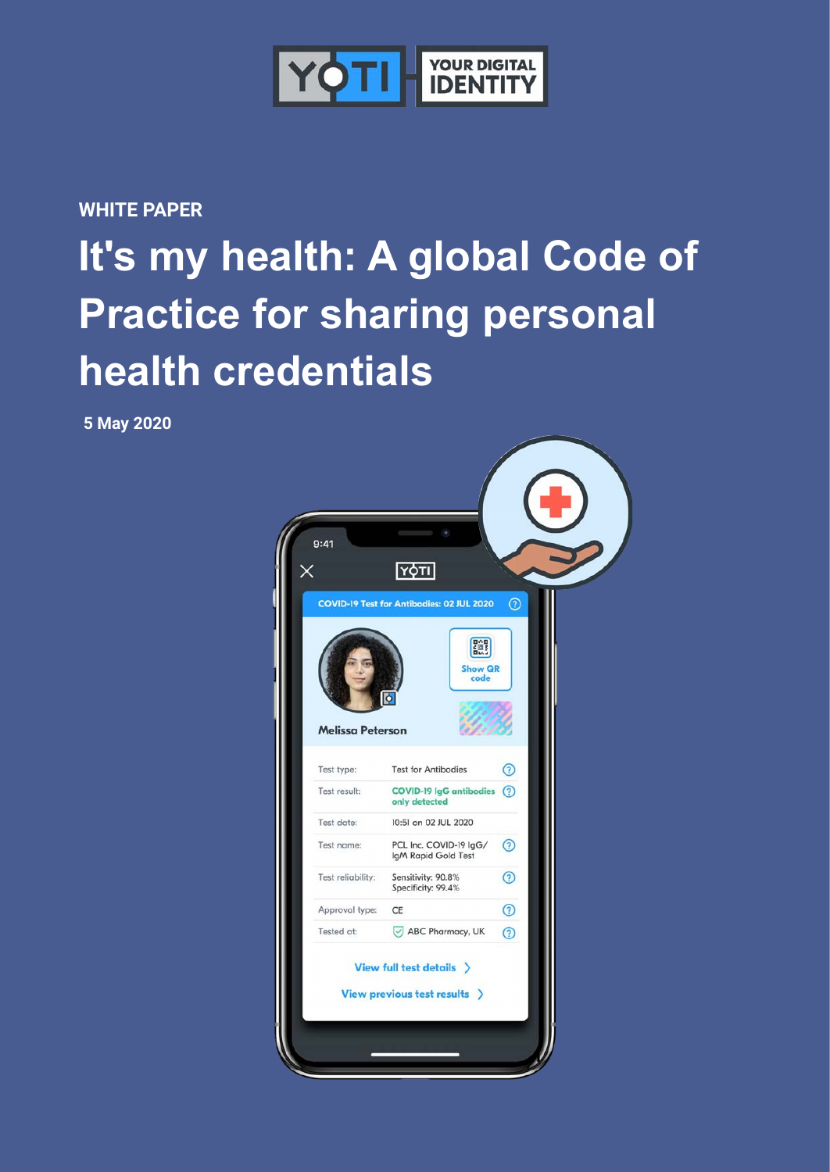

**WHITE PAPER**

# **It's my health: A global Code of Practice for sharing personal health credentials**

**5 May 2020**

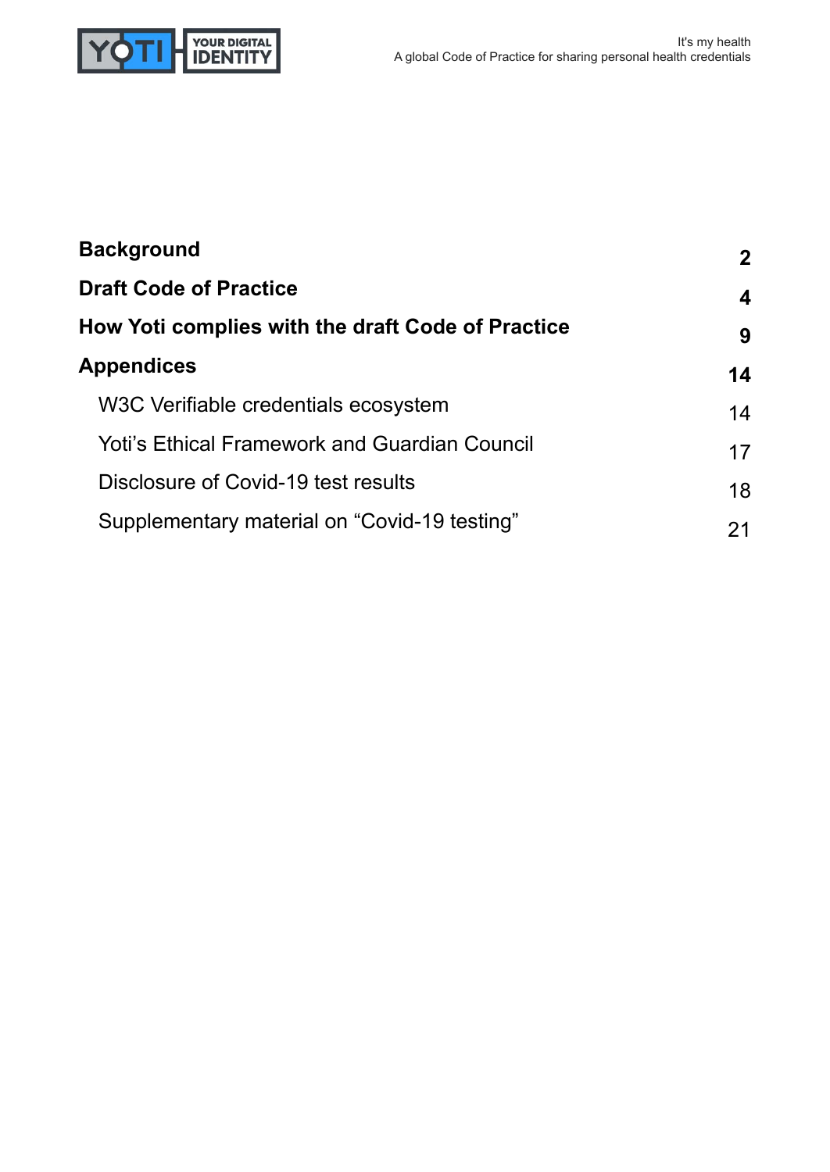

| <b>Background</b>                                    | $\mathbf{2}$ |  |
|------------------------------------------------------|--------------|--|
| <b>Draft Code of Practice</b>                        | 4            |  |
| How Yoti complies with the draft Code of Practice    | 9            |  |
| <b>Appendices</b>                                    | 14           |  |
| W3C Verifiable credentials ecosystem                 | 14           |  |
| <b>Yoti's Ethical Framework and Guardian Council</b> |              |  |
| Disclosure of Covid-19 test results                  | 18           |  |
| Supplementary material on "Covid-19 testing"         | 21           |  |
|                                                      | 17           |  |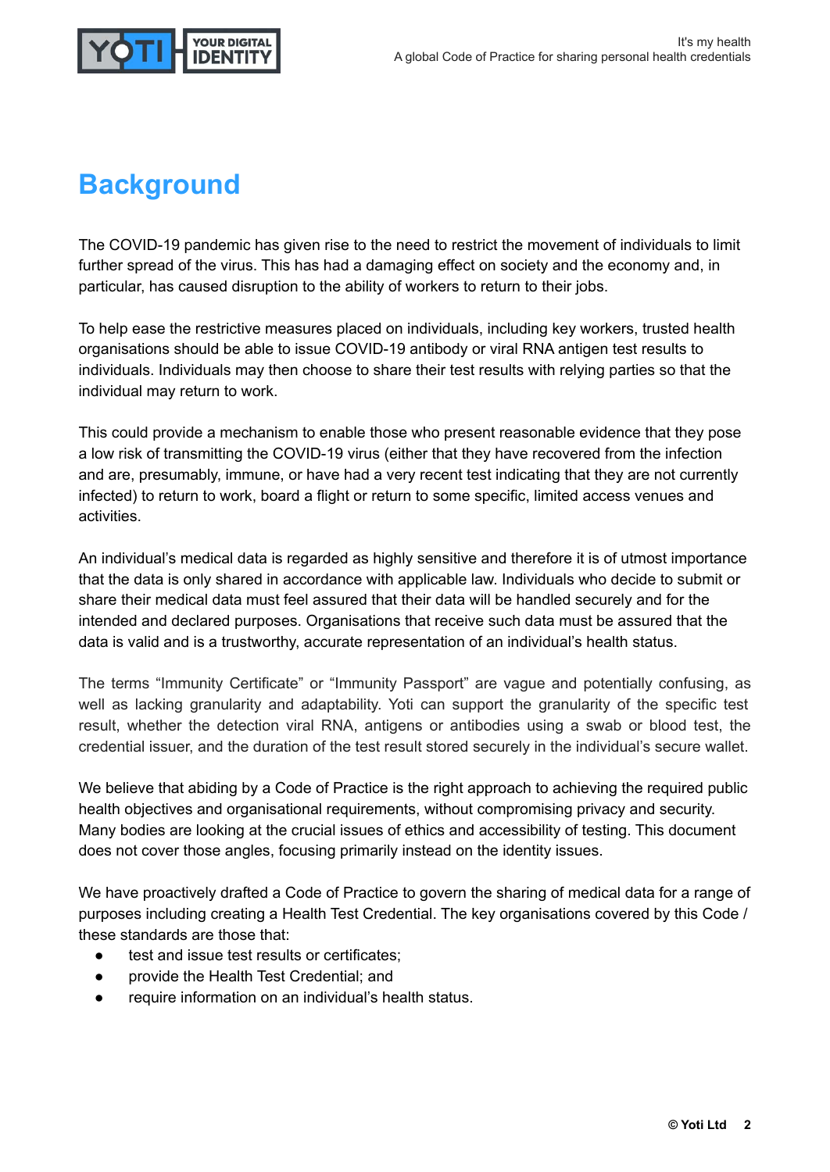

## **Background**

The COVID-19 pandemic has given rise to the need to restrict the movement of individuals to limit further spread of the virus. This has had a damaging effect on society and the economy and, in particular, has caused disruption to the ability of workers to return to their jobs.

To help ease the restrictive measures placed on individuals, including key workers, trusted health organisations should be able to issue COVID-19 antibody or viral RNA antigen test results to individuals. Individuals may then choose to share their test results with relying parties so that the individual may return to work.

This could provide a mechanism to enable those who present reasonable evidence that they pose a low risk of transmitting the COVID-19 virus (either that they have recovered from the infection and are, presumably, immune, or have had a very recent test indicating that they are not currently infected) to return to work, board a flight or return to some specific, limited access venues and activities.

An individual's medical data is regarded as highly sensitive and therefore it is of utmost importance that the data is only shared in accordance with applicable law. Individuals who decide to submit or share their medical data must feel assured that their data will be handled securely and for the intended and declared purposes. Organisations that receive such data must be assured that the data is valid and is a trustworthy, accurate representation of an individual's health status.

The terms "Immunity Certificate" or "Immunity Passport" are vague and potentially confusing, as well as lacking granularity and adaptability. Yoti can support the granularity of the specific test result, whether the detection viral RNA, antigens or antibodies using a swab or blood test, the credential issuer, and the duration of the test result stored securely in the individual's secure wallet.

We believe that abiding by a Code of Practice is the right approach to achieving the required public health objectives and organisational requirements, without compromising privacy and security. Many bodies are looking at the crucial issues of ethics and accessibility of testing. This document does not cover those angles, focusing primarily instead on the identity issues.

We have proactively drafted a Code of Practice to govern the sharing of medical data for a range of purposes including creating a Health Test Credential. The key organisations covered by this Code / these standards are those that:

- test and issue test results or certificates:
- provide the Health Test Credential; and
- require information on an individual's health status.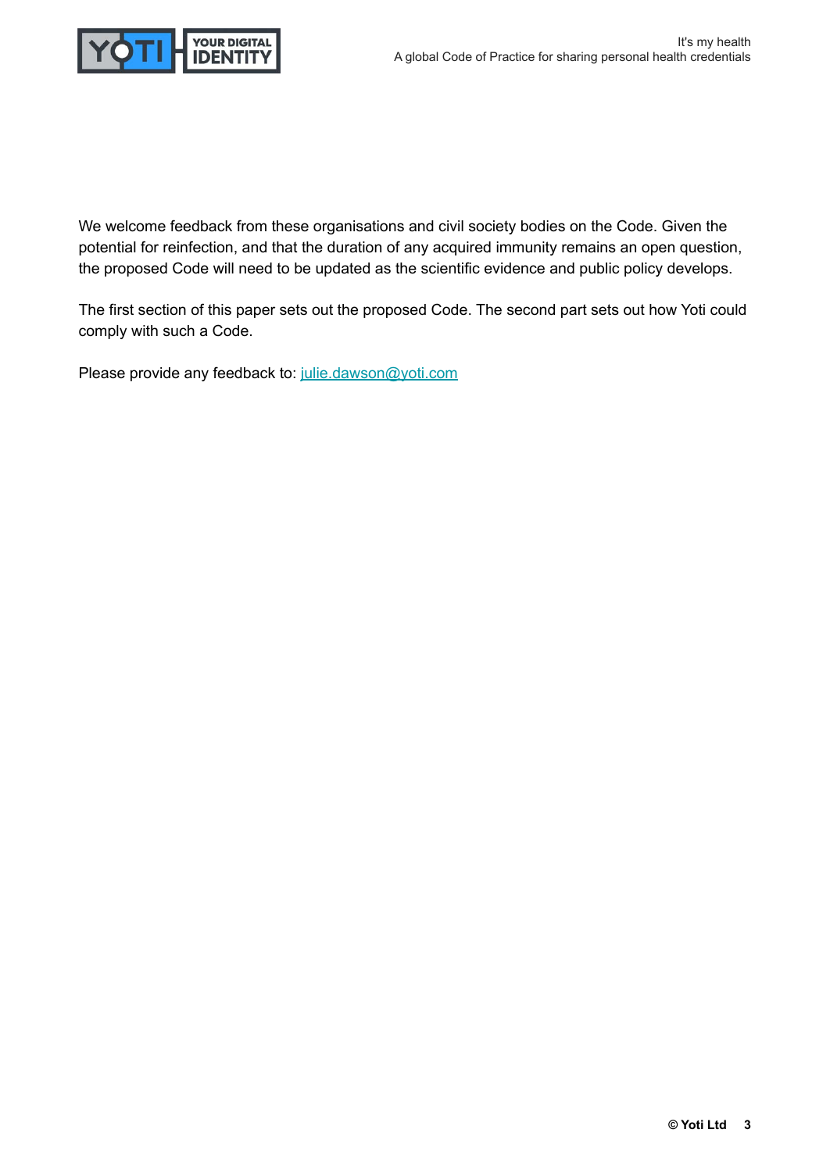

We welcome feedback from these organisations and civil society bodies on the Code. Given the potential for reinfection, and that the duration of any acquired immunity remains an open question, the proposed Code will need to be updated as the scientific evidence and public policy develops.

The first section of this paper sets out the proposed Code. The second part sets out how Yoti could comply with such a Code.

Please provide any feedback to: [julie.dawson@yoti.com](mailto:julie.dawson@yoti.com)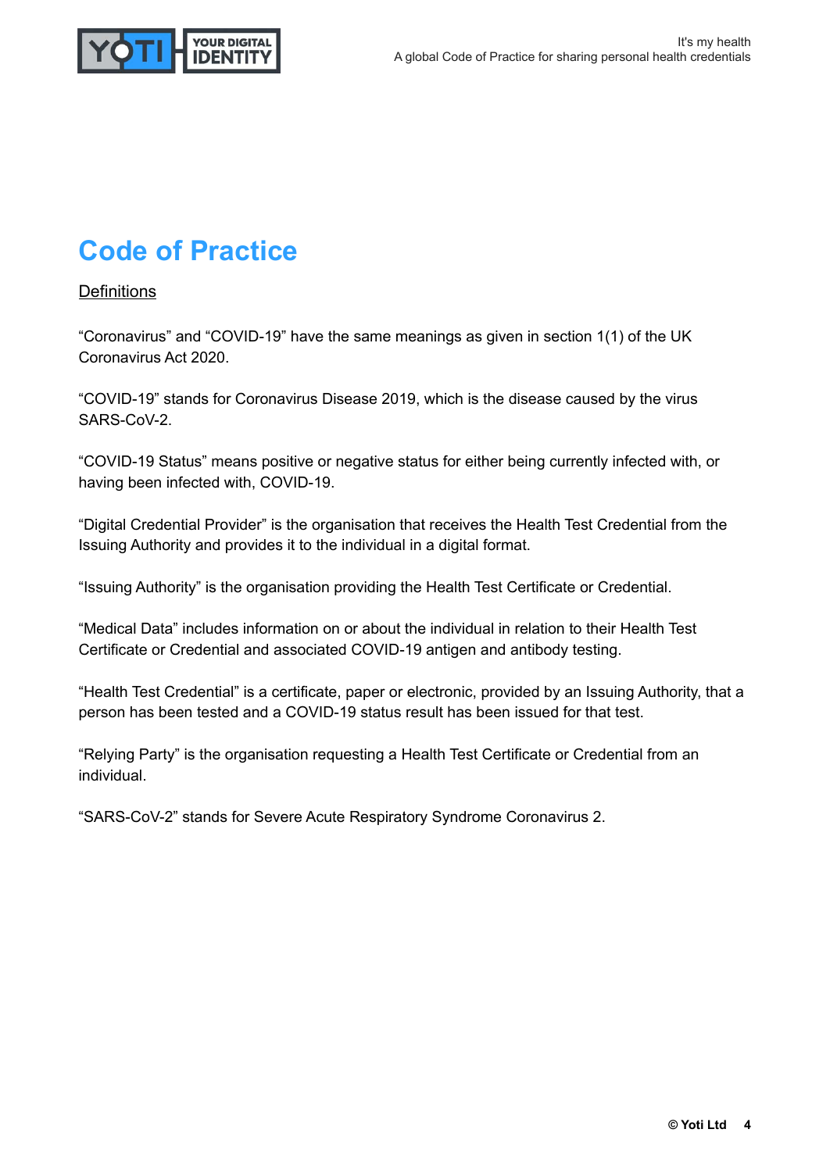

## **Code of Practice**

#### **Definitions**

"Coronavirus" and "COVID-19" have the same meanings as given in section 1(1) of the UK Coronavirus Act 2020.

"COVID-19" stands for Coronavirus Disease 2019, which is the disease caused by the virus SARS-CoV-2.

"COVID-19 Status" means positive or negative status for either being currently infected with, or having been infected with, COVID-19.

"Digital Credential Provider" is the organisation that receives the Health Test Credential from the Issuing Authority and provides it to the individual in a digital format.

"Issuing Authority" is the organisation providing the Health Test Certificate or Credential.

"Medical Data" includes information on or about the individual in relation to their Health Test Certificate or Credential and associated COVID-19 antigen and antibody testing.

"Health Test Credential" is a certificate, paper or electronic, provided by an Issuing Authority, that a person has been tested and a COVID-19 status result has been issued for that test.

"Relying Party" is the organisation requesting a Health Test Certificate or Credential from an individual.

"SARS-CoV-2" stands for Severe Acute Respiratory Syndrome Coronavirus 2.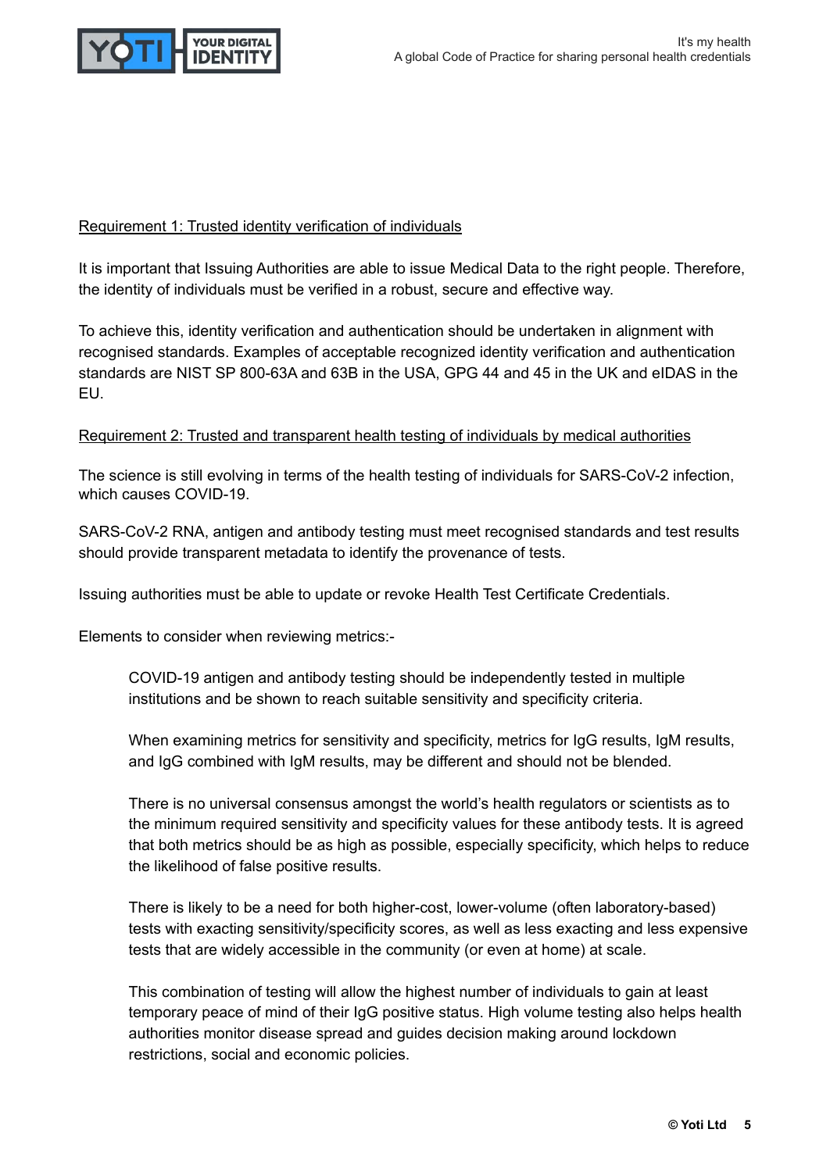

#### Requirement 1: Trusted identity verification of individuals

It is important that Issuing Authorities are able to issue Medical Data to the right people. Therefore, the identity of individuals must be verified in a robust, secure and effective way.

To achieve this, identity verification and authentication should be undertaken in alignment with recognised standards. Examples of acceptable recognized identity verification and authentication standards are NIST SP 800-63A and 63B in the USA, GPG 44 and 45 in the UK and eIDAS in the EU.

#### Requirement 2: Trusted and transparent health testing of individuals by medical authorities

The science is still evolving in terms of the health testing of individuals for SARS-CoV-2 infection, which causes COVID-19.

SARS-CoV-2 RNA, antigen and antibody testing must meet recognised standards and test results should provide transparent metadata to identify the provenance of tests.

Issuing authorities must be able to update or revoke Health Test Certificate Credentials.

Elements to consider when reviewing metrics:-

COVID-19 antigen and antibody testing should be independently tested in multiple institutions and be shown to reach suitable sensitivity and specificity criteria.

When examining metrics for sensitivity and specificity, metrics for IgG results, IgM results, and IgG combined with IgM results, may be different and should not be blended.

There is no universal consensus amongst the world's health regulators or scientists as to the minimum required sensitivity and specificity values for these antibody tests. It is agreed that both metrics should be as high as possible, especially specificity, which helps to reduce the likelihood of false positive results.

There is likely to be a need for both higher-cost, lower-volume (often laboratory-based) tests with exacting sensitivity/specificity scores, as well as less exacting and less expensive tests that are widely accessible in the community (or even at home) at scale.

This combination of testing will allow the highest number of individuals to gain at least temporary peace of mind of their IgG positive status. High volume testing also helps health authorities monitor disease spread and guides decision making around lockdown restrictions, social and economic policies.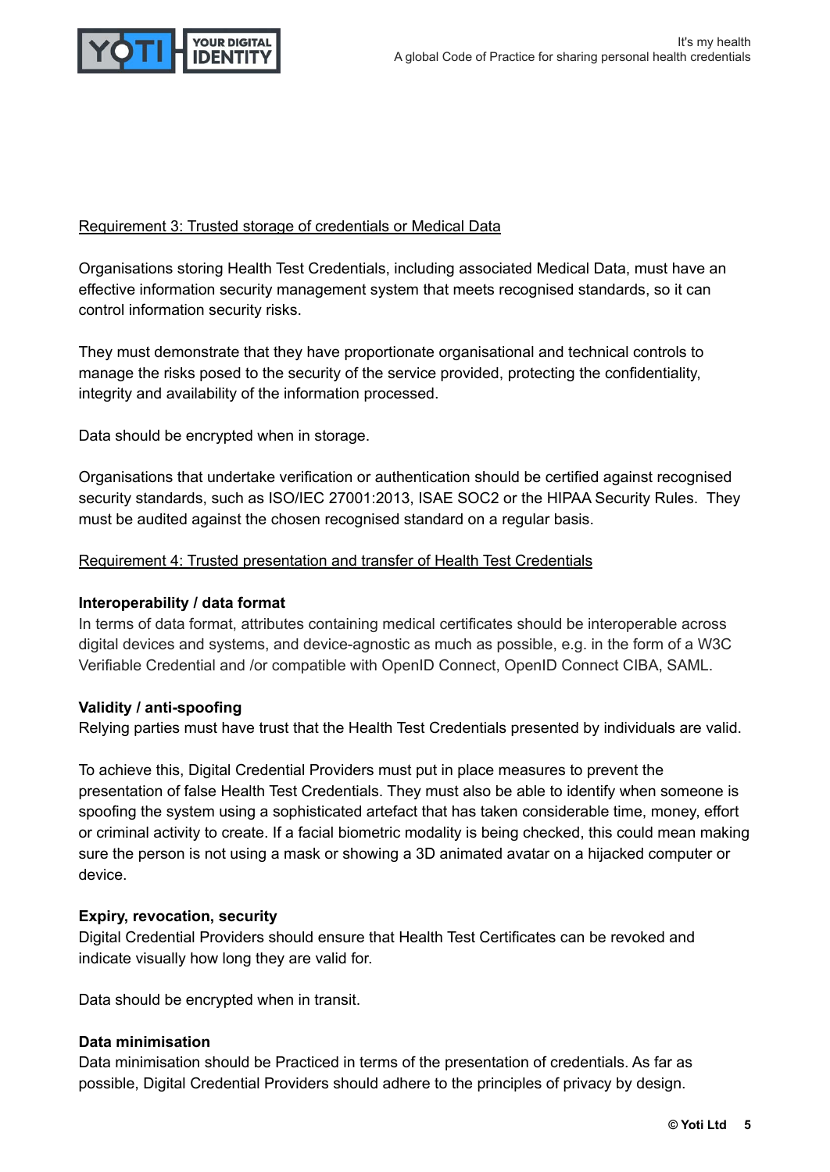

#### Requirement 3: Trusted storage of credentials or Medical Data

Organisations storing Health Test Credentials, including associated Medical Data, must have an effective information security management system that meets recognised standards, so it can control information security risks.

They must demonstrate that they have proportionate organisational and technical controls to manage the risks posed to the security of the service provided, protecting the confidentiality, integrity and availability of the information processed.

Data should be encrypted when in storage.

Organisations that undertake verification or authentication should be certified against recognised security standards, such as ISO/IEC 27001:2013, ISAE SOC2 or the HIPAA Security Rules. They must be audited against the chosen recognised standard on a regular basis.

#### Requirement 4: Trusted presentation and transfer of Health Test Credentials

#### **Interoperability / data format**

In terms of data format, attributes containing medical certificates should be interoperable across digital devices and systems, and device-agnostic as much as possible, e.g. in the form of a W3C Verifiable Credential and /or compatible with OpenID Connect, OpenID Connect CIBA, SAML.

#### **Validity / anti-spoofing**

Relying parties must have trust that the Health Test Credentials presented by individuals are valid.

To achieve this, Digital Credential Providers must put in place measures to prevent the presentation of false Health Test Credentials. They must also be able to identify when someone is spoofing the system using a sophisticated artefact that has taken considerable time, money, effort or criminal activity to create. If a facial biometric modality is being checked, this could mean making sure the person is not using a mask or showing a 3D animated avatar on a hijacked computer or device.

#### **Expiry, revocation, security**

Digital Credential Providers should ensure that Health Test Certificates can be revoked and indicate visually how long they are valid for.

Data should be encrypted when in transit.

#### **Data minimisation**

Data minimisation should be Practiced in terms of the presentation of credentials. As far as possible, Digital Credential Providers should adhere to the principles of privacy by design.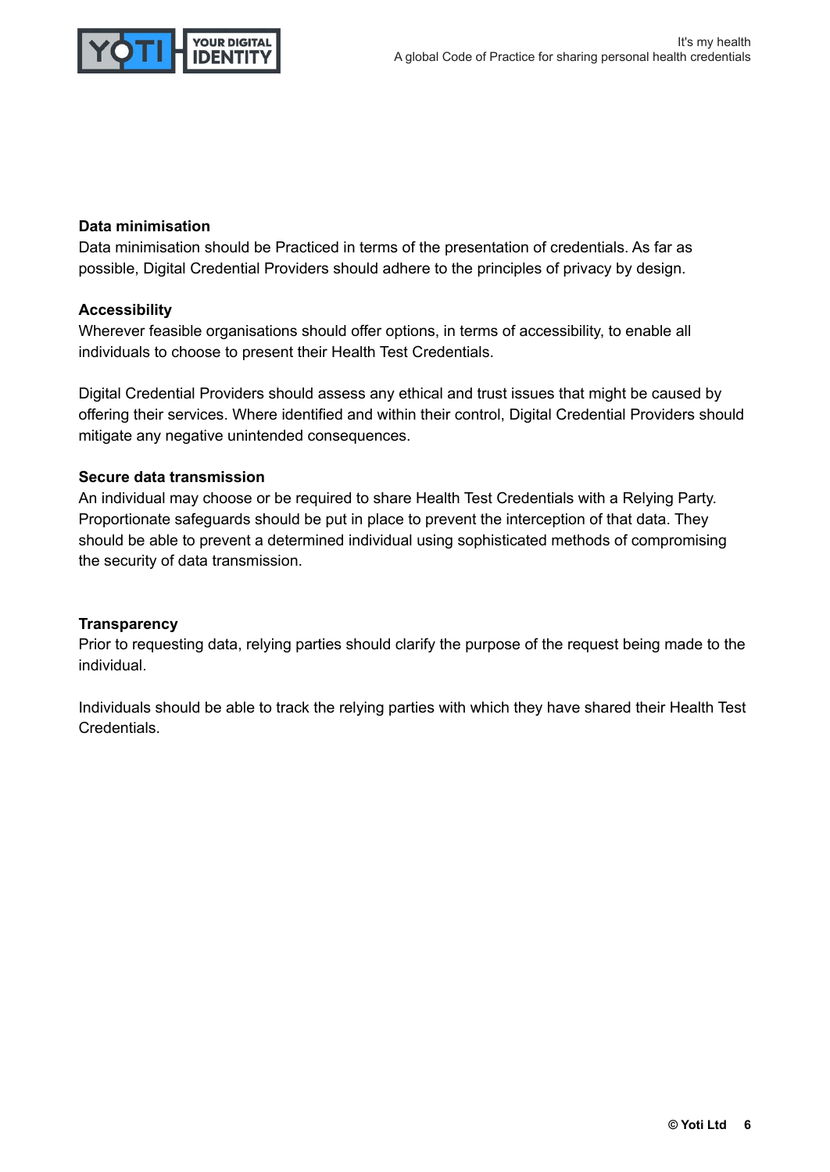

#### **Data minimisation**

Data minimisation should be Practiced in terms of the presentation of credentials. As far as possible, Digital Credential Providers should adhere to the principles of privacy by design.

#### **Accessibility**

Wherever feasible organisations should offer options, in terms of accessibility, to enable all individuals to choose to present their Health Test Credentials.

Digital Credential Providers should assess any ethical and trust issues that might be caused by offering their services. Where identified and within their control, Digital Credential Providers should mitigate any negative unintended consequences.

#### **Secure data transmission**

An individual may choose or be required to share Health Test Credentials with a Relying Party. Proportionate safeguards should be put in place to prevent the interception of that data. They should be able to prevent a determined individual using sophisticated methods of compromising the security of data transmission.

#### **Transparency**

Prior to requesting data, relying parties should clarify the purpose of the request being made to the individual.

Individuals should be able to track the relying parties with which they have shared their Health Test Credentials.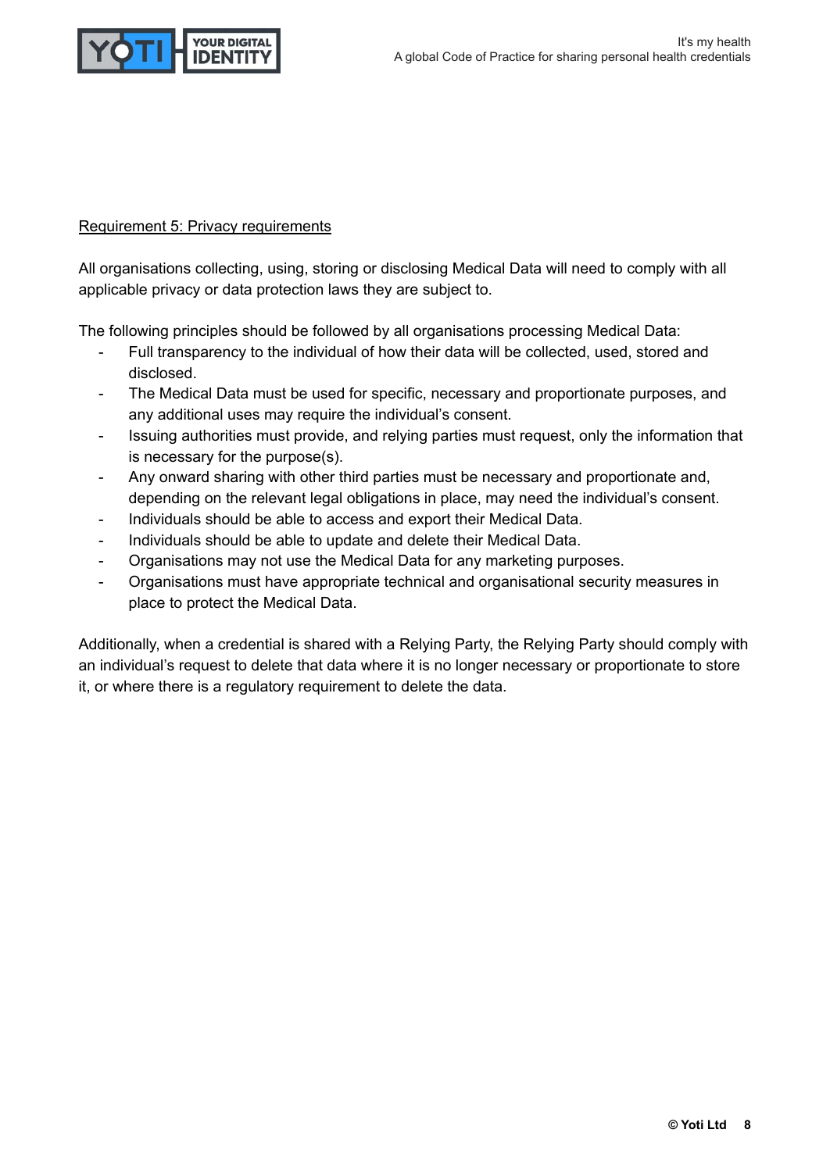

#### Requirement 5: Privacy requirements

All organisations collecting, using, storing or disclosing Medical Data will need to comply with all applicable privacy or data protection laws they are subject to.

The following principles should be followed by all organisations processing Medical Data:

- Full transparency to the individual of how their data will be collected, used, stored and disclosed.
- The Medical Data must be used for specific, necessary and proportionate purposes, and any additional uses may require the individual's consent.
- Issuing authorities must provide, and relying parties must request, only the information that is necessary for the purpose(s).
- Any onward sharing with other third parties must be necessary and proportionate and, depending on the relevant legal obligations in place, may need the individual's consent.
- Individuals should be able to access and export their Medical Data.
- Individuals should be able to update and delete their Medical Data.
- Organisations may not use the Medical Data for any marketing purposes.
- Organisations must have appropriate technical and organisational security measures in place to protect the Medical Data.

Additionally, when a credential is shared with a Relying Party, the Relying Party should comply with an individual's request to delete that data where it is no longer necessary or proportionate to store it, or where there is a regulatory requirement to delete the data.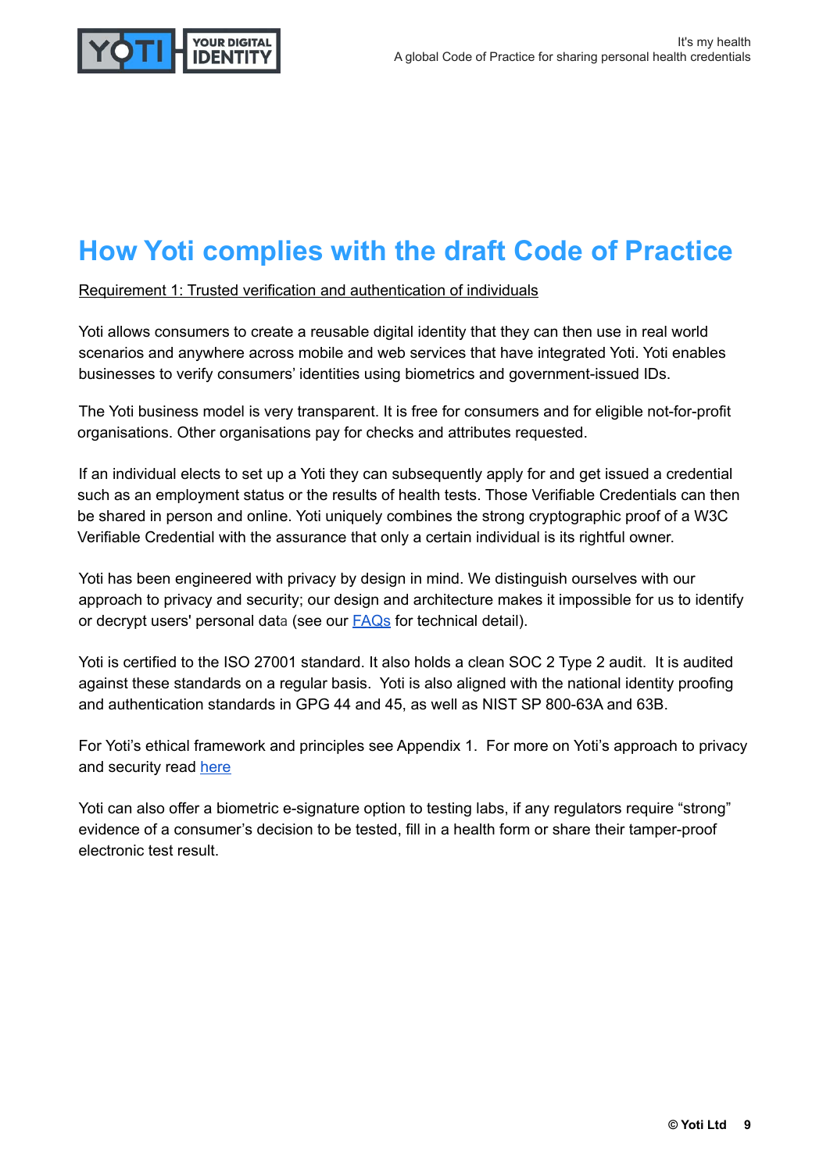

### **How Yoti complies with the draft Code of Practice**

Requirement 1: Trusted verification and authentication of individuals

Yoti allows consumers to create a reusable digital identity that they can then use in real world scenarios and anywhere across mobile and web services that have integrated Yoti. Yoti enables businesses to verify consumers' identities using biometrics and government-issued IDs.

The Yoti business model is very transparent. It is free for consumers and for eligible not-for-profit organisations. Other organisations pay for checks and attributes requested.

If an individual elects to set up a Yoti they can subsequently apply for and get issued a credential such as an employment status or the results of health tests. Those Verifiable Credentials can then be shared in person and online. Yoti uniquely combines the strong cryptographic proof of a W3C Verifiable Credential with the assurance that only a certain individual is its rightful owner.

Yoti has been engineered with privacy by design in mind. We distinguish ourselves with our approach to privacy and security; our design and architecture makes it impossible for us to identify or decrypt users' personal data (see our [FAQs](https://yoti.zendesk.com/hc/en-us) for technical detail).

Yoti is certified to the ISO 27001 standard. It also holds a clean SOC 2 Type 2 audit. It is audited against these standards on a regular basis. Yoti is also aligned with the national identity proofing and authentication standards in GPG 44 and 45, as well as NIST SP 800-63A and 63B.

For Yoti's ethical framework and principles see Appendix 1. For more on Yoti's approach to privacy and security read [here](https://www.yoti.com/blog/our-approach-to-security-and-privacy)

Yoti can also offer a biometric e-signature option to testing labs, if any regulators require "strong" evidence of a consumer's decision to be tested, fill in a health form or share their tamper-proof electronic test result.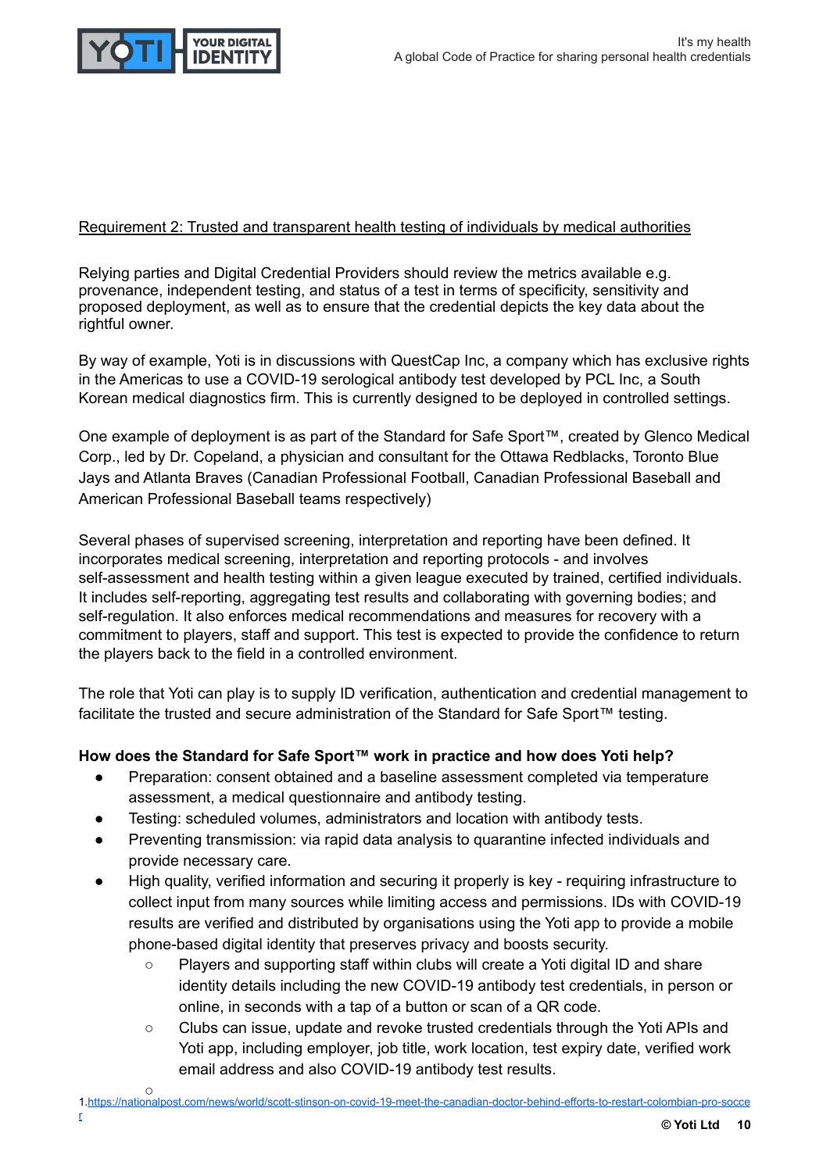

#### Requirement 2: Trusted and transparent health testing of individuals by medical authorities

Relying parties and Digital Credential Providers should review the metrics available e.g. provenance, independent testing, and status of a test in terms of specificity, sensitivity and proposed deployment, as well as to ensure that the credential depicts the key data about the rightful owner.

By way of example, Yoti is in discussions with QuestCap Inc, a company which has exclusive rights in the Americas to use a COVID-19 serological antibody test developed by PCL Inc, a South Korean medical diagnostics firm. This is currently designed to be deployed in controlled settings.

One example of deployment is as part of the Standard for Safe Sport™, created by Glenco Medical Corp., led by Dr. Copeland, a physician and consultant for the Ottawa Redblacks, Toronto Blue Jays and Atlanta Braves (Canadian Professional Football, Canadian Professional Baseball and American Professional Baseball teams respectively)

Several phases of supervised screening, interpretation and reporting have been defined. It incorporates medical screening, interpretation and reporting protocols - and involves self-assessment and health testing within a given league executed by trained, certified individuals. It includes self-reporting, aggregating test results and collaborating with governing bodies; and self-regulation. It also enforces medical recommendations and measures for recovery with a commitment to players, staff and support. This test is expected to provide the confidence to return the players back to the field in a controlled environment.

The role that Yoti can play is to supply ID verification, authentication and credential management to facilitate the trusted and secure administration of the Standard for Safe Sport™ testing.

#### **How does the Standard for Safe Sport™ work in practice and how does Yoti help?**

- Preparation: consent obtained and a baseline assessment completed via temperature assessment, a medical questionnaire and antibody testing.
- Testing: scheduled volumes, administrators and location with antibody tests.
- Preventing transmission: via rapid data analysis to quarantine infected individuals and provide necessary care.
- High quality, verified information and securing it properly is key requiring infrastructure to collect input from many sources while limiting access and permissions. IDs with COVID-19 results are verified and distributed by organisations using the Yoti app to provide a mobile phone-based digital identity that preserves privacy and boosts security.
	- Players and supporting staff within clubs will create a Yoti digital ID and share identity details including the new COVID-19 antibody test credentials, in person or online, in seconds with a tap of a button or scan of a QR code.
	- Clubs can issue, update and revoke trusted credentials through the Yoti APIs and Yoti app, including employer, job title, work location, test expiry date, verified work email address and also COVID-19 antibody test results.
- $\circ$ 1[.https://nationalpost.com/news/world/scott-stinson-on-covid-19-meet-the-canadian-doctor-behind-efforts-to-restart-colombian-pro-socce](https://nationalpost.com/news/world/scott-stinson-on-covid-19-meet-the-canadian-doctor-behind-efforts-to-restart-colombian-pro-soccer)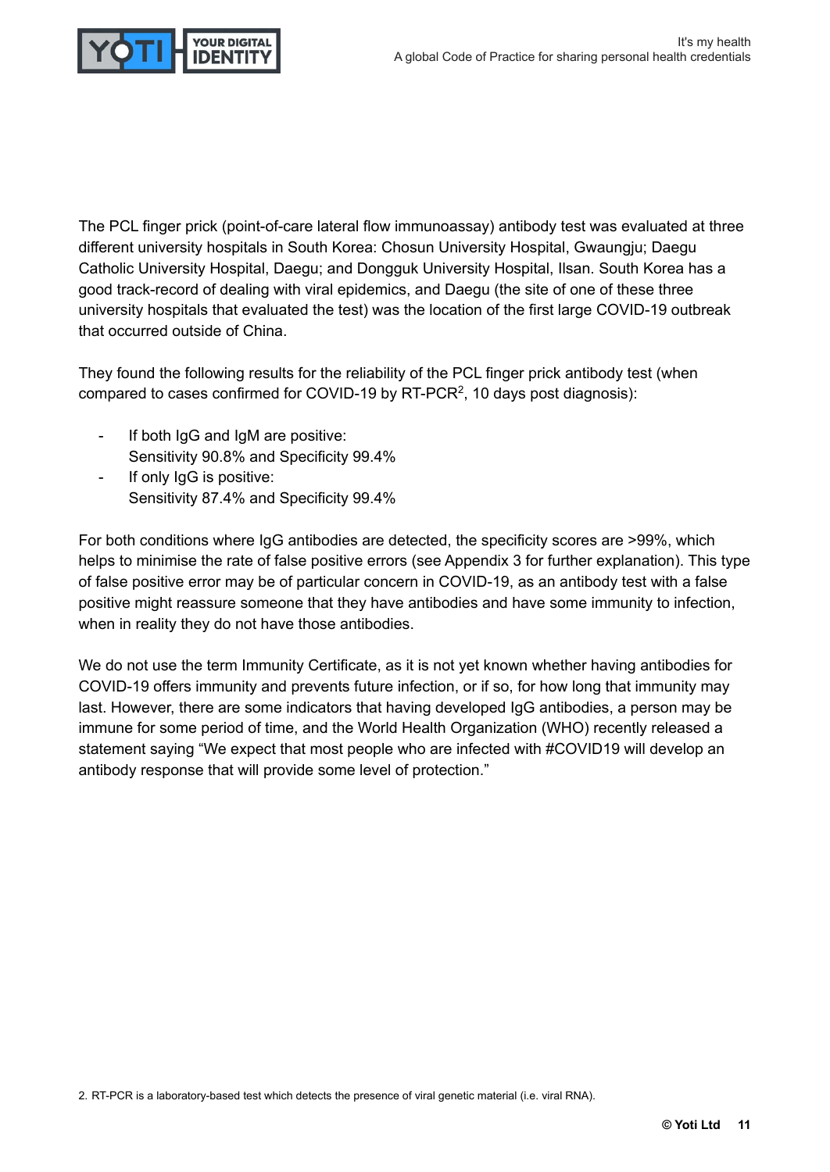

The PCL finger prick (point-of-care lateral flow immunoassay) antibody test was evaluated at three different university hospitals in South Korea: Chosun University Hospital, Gwaungju; Daegu Catholic University Hospital, Daegu; and Dongguk University Hospital, Ilsan. South Korea has a good track-record of dealing with viral epidemics, and Daegu (the site of one of these three university hospitals that evaluated the test) was the location of the first large COVID-19 outbreak that occurred outside of China.

They found the following results for the reliability of the PCL finger prick antibody test (when compared to cases confirmed for COVID-19 by RT-PCR<sup>2</sup>, 10 days post diagnosis):

- If both IgG and IgM are positive: Sensitivity 90.8% and Specificity 99.4%
- If only IqG is positive: Sensitivity 87.4% and Specificity 99.4%

For both conditions where IgG antibodies are detected, the specificity scores are >99%, which helps to minimise the rate of false positive errors (see Appendix 3 for further explanation). This type of false positive error may be of particular concern in COVID-19, as an antibody test with a false positive might reassure someone that they have antibodies and have some immunity to infection, when in reality they do not have those antibodies.

We do not use the term Immunity Certificate, as it is not yet known whether having antibodies for COVID-19 offers immunity and prevents future infection, or if so, for how long that immunity may last. However, there are some indicators that having developed IgG antibodies, a person may be immune for some period of time, and the World Health Organization (WHO) recently released a statement saying "We expect that most people who are infected with #COVID19 will develop an antibody response that will provide some level of protection."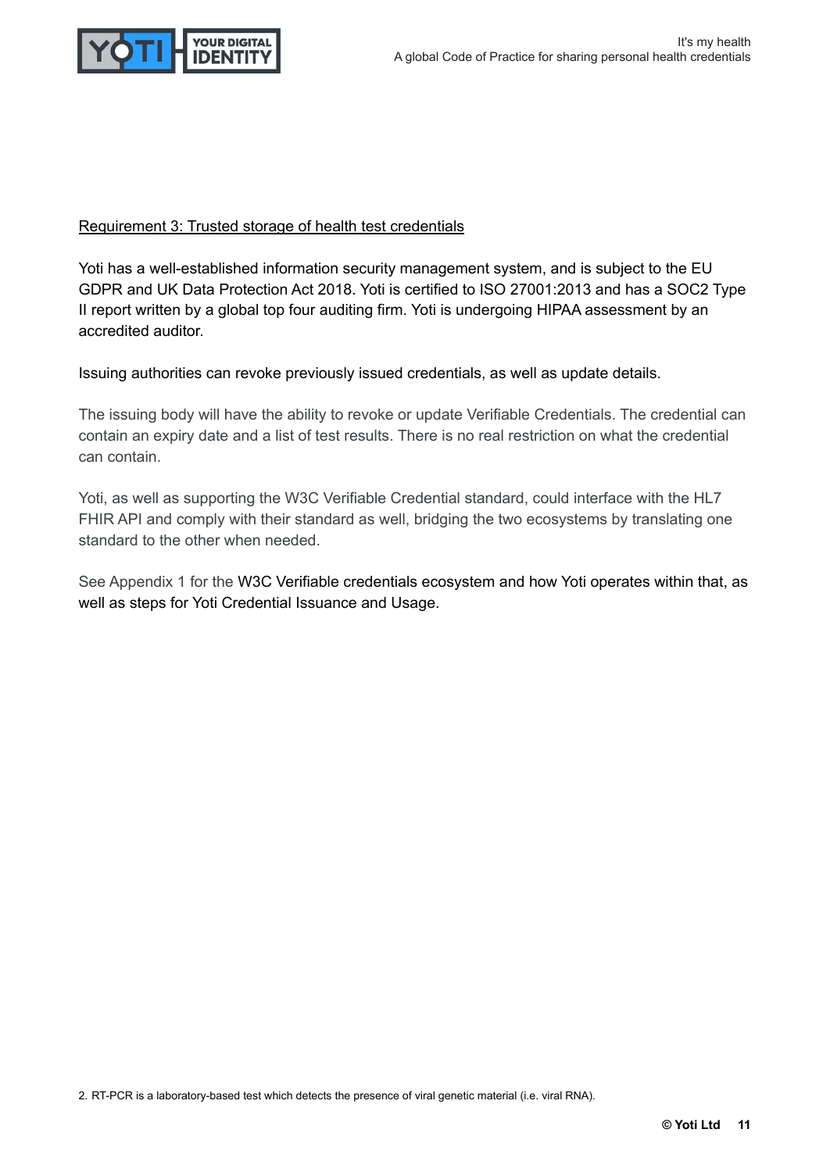

#### Requirement 3: Trusted storage of health test credentials

Yoti has a well-established information security management system, and is subject to the EU GDPR and UK Data Protection Act 2018. Yoti is certified to ISO 27001:2013 and has a SOC2 Type II report written by a global top four auditing firm. Yoti is undergoing HIPAA assessment by an accredited auditor.

Issuing authorities can revoke previously issued credentials, as well as update details.

The issuing body will have the ability to revoke or update Verifiable Credentials. The credential can contain an expiry date and a list of test results. There is no real restriction on what the credential can contain.

Yoti, as well as supporting the W3C Verifiable Credential standard, could interface with the HL7 FHIR API and comply with their standard as well, bridging the two ecosystems by translating one standard to the other when needed.

See Appendix 1 for the W3C Verifiable credentials ecosystem and how Yoti operates within that, as well as steps for Yoti Credential Issuance and Usage.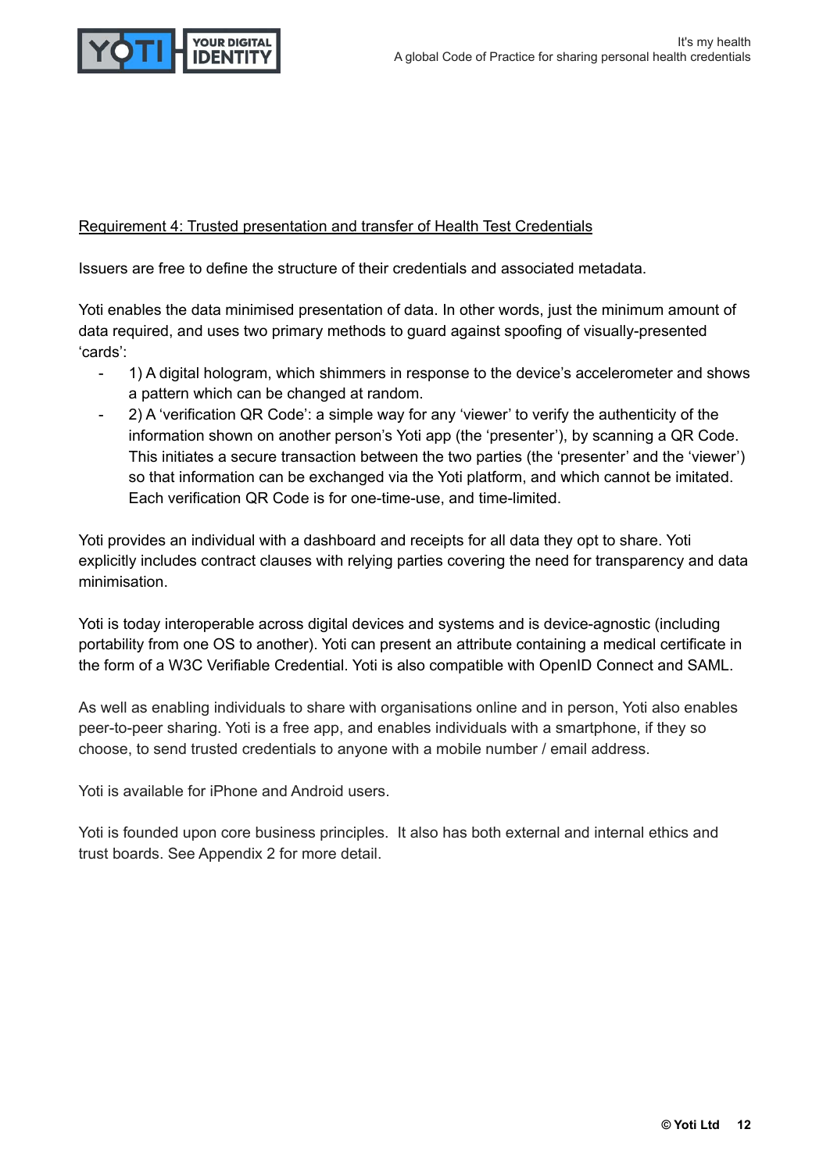

#### Requirement 4: Trusted presentation and transfer of Health Test Credentials

Issuers are free to define the structure of their credentials and associated metadata.

Yoti enables the data minimised presentation of data. In other words, just the minimum amount of data required, and uses two primary methods to guard against spoofing of visually-presented 'cards':

- 1) A digital hologram, which shimmers in response to the device's accelerometer and shows a pattern which can be changed at random.
- 2) A 'verification QR Code': a simple way for any 'viewer' to verify the authenticity of the information shown on another person's Yoti app (the 'presenter'), by scanning a QR Code. This initiates a secure transaction between the two parties (the 'presenter' and the 'viewer') so that information can be exchanged via the Yoti platform, and which cannot be imitated. Each verification QR Code is for one-time-use, and time-limited.

Yoti provides an individual with a dashboard and receipts for all data they opt to share. Yoti explicitly includes contract clauses with relying parties covering the need for transparency and data minimisation.

Yoti is today interoperable across digital devices and systems and is device-agnostic (including portability from one OS to another). Yoti can present an attribute containing a medical certificate in the form of a W3C Verifiable Credential. Yoti is also compatible with OpenID Connect and SAML.

As well as enabling individuals to share with organisations online and in person, Yoti also enables peer-to-peer sharing. Yoti is a free app, and enables individuals with a smartphone, if they so choose, to send trusted credentials to anyone with a mobile number / email address.

Yoti is available for iPhone and Android users.

Yoti is founded upon core business principles. It also has both external and internal ethics and trust boards. See Appendix 2 for more detail.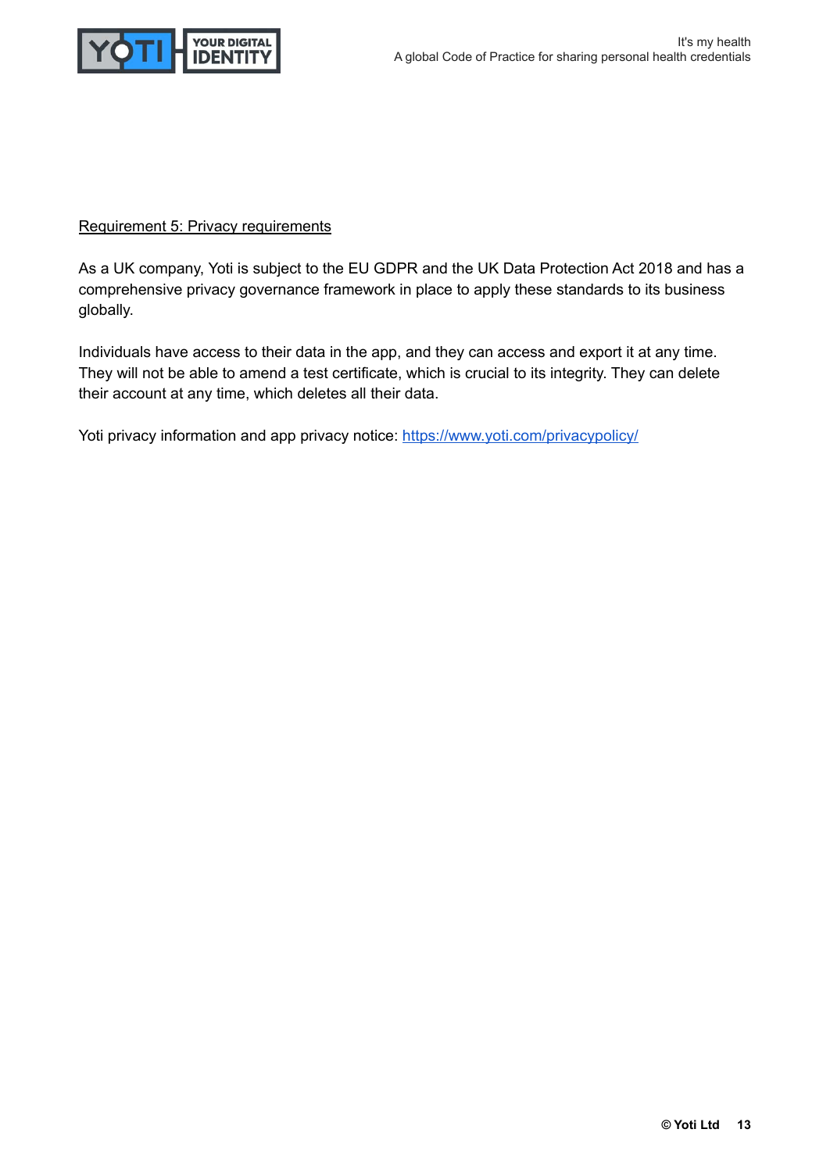

#### Requirement 5: Privacy requirements

As a UK company, Yoti is subject to the EU GDPR and the UK Data Protection Act 2018 and has a comprehensive privacy governance framework in place to apply these standards to its business globally.

Individuals have access to their data in the app, and they can access and export it at any time. They will not be able to amend a test certificate, which is crucial to its integrity. They can delete their account at any time, which deletes all their data.

Yoti privacy information and app privacy notice: <https://www.yoti.com/privacypolicy/>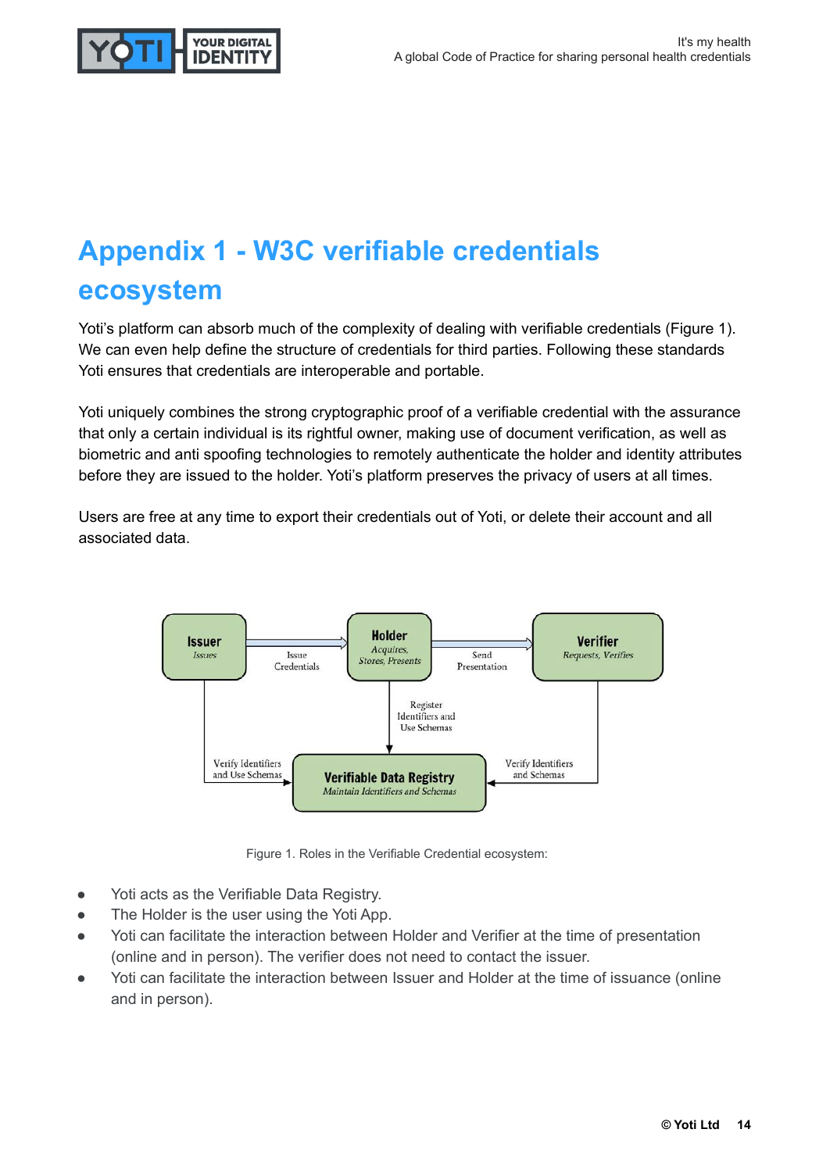

# **Appendix 1 - W3C verifiable credentials ecosystem**

Yoti's platform can absorb much of the complexity of dealing with verifiable credentials (Figure 1). We can even help define the structure of credentials for third parties. Following these standards Yoti ensures that credentials are interoperable and portable.

Yoti uniquely combines the strong cryptographic proof of a verifiable credential with the assurance that only a certain individual is its rightful owner, making use of document verification, as well as biometric and anti spoofing technologies to remotely authenticate the holder and identity attributes before they are issued to the holder. Yoti's platform preserves the privacy of users at all times.

Users are free at any time to export their credentials out of Yoti, or delete their account and all associated data.



Figure 1. Roles in the Verifiable Credential ecosystem:

- Yoti acts as the Verifiable Data Registry.
- The Holder is the user using the Yoti App.
- Yoti can facilitate the interaction between Holder and Verifier at the time of presentation (online and in person). The verifier does not need to contact the issuer.
- Yoti can facilitate the interaction between Issuer and Holder at the time of issuance (online and in person).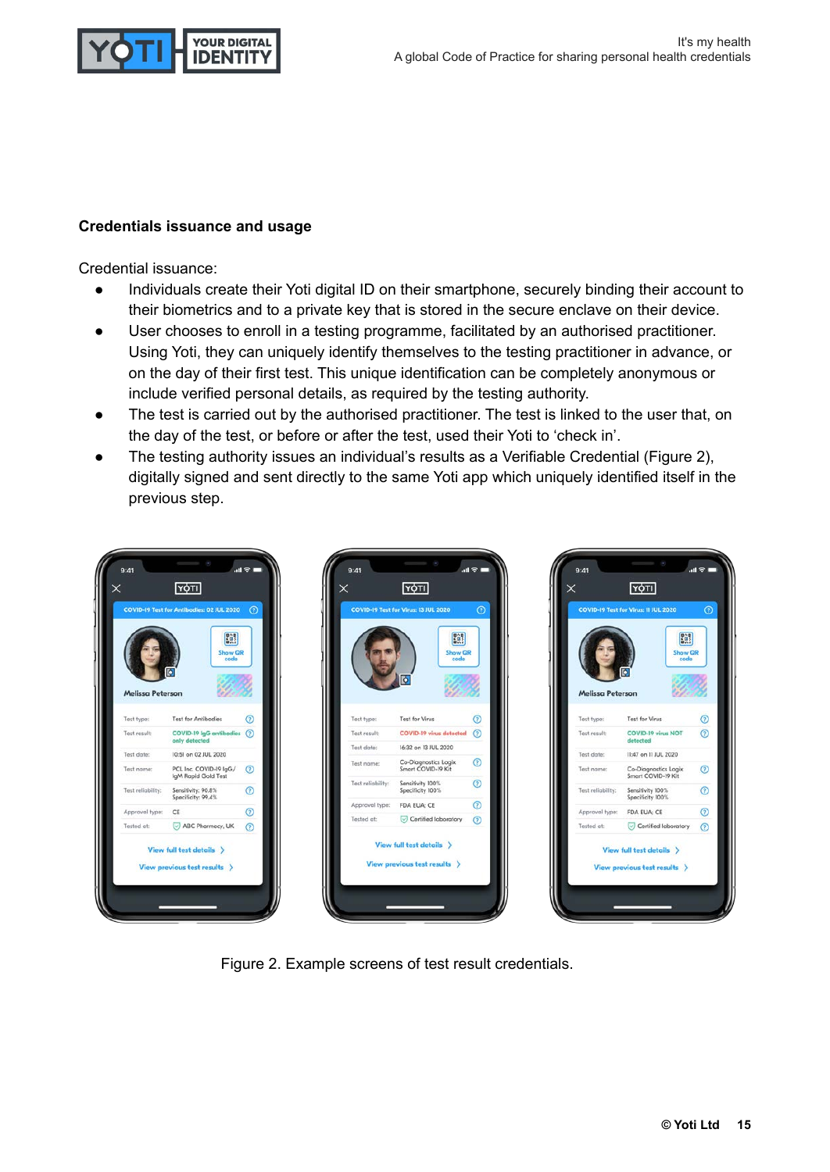

#### **Credentials issuance and usage**

Credential issuance:

- Individuals create their Yoti digital ID on their smartphone, securely binding their account to their biometrics and to a private key that is stored in the secure enclave on their device.
- User chooses to enroll in a testing programme, facilitated by an authorised practitioner. Using Yoti, they can uniquely identify themselves to the testing practitioner in advance, or on the day of their first test. This unique identification can be completely anonymous or include verified personal details, as required by the testing authority.
- The test is carried out by the authorised practitioner. The test is linked to the user that, on the day of the test, or before or after the test, used their Yoti to 'check in'.
- The testing authority issues an individual's results as a Verifiable Credential (Figure 2), digitally signed and sent directly to the same Yoti app which uniquely identified itself in the previous step.







Figure 2. Example screens of test result credentials.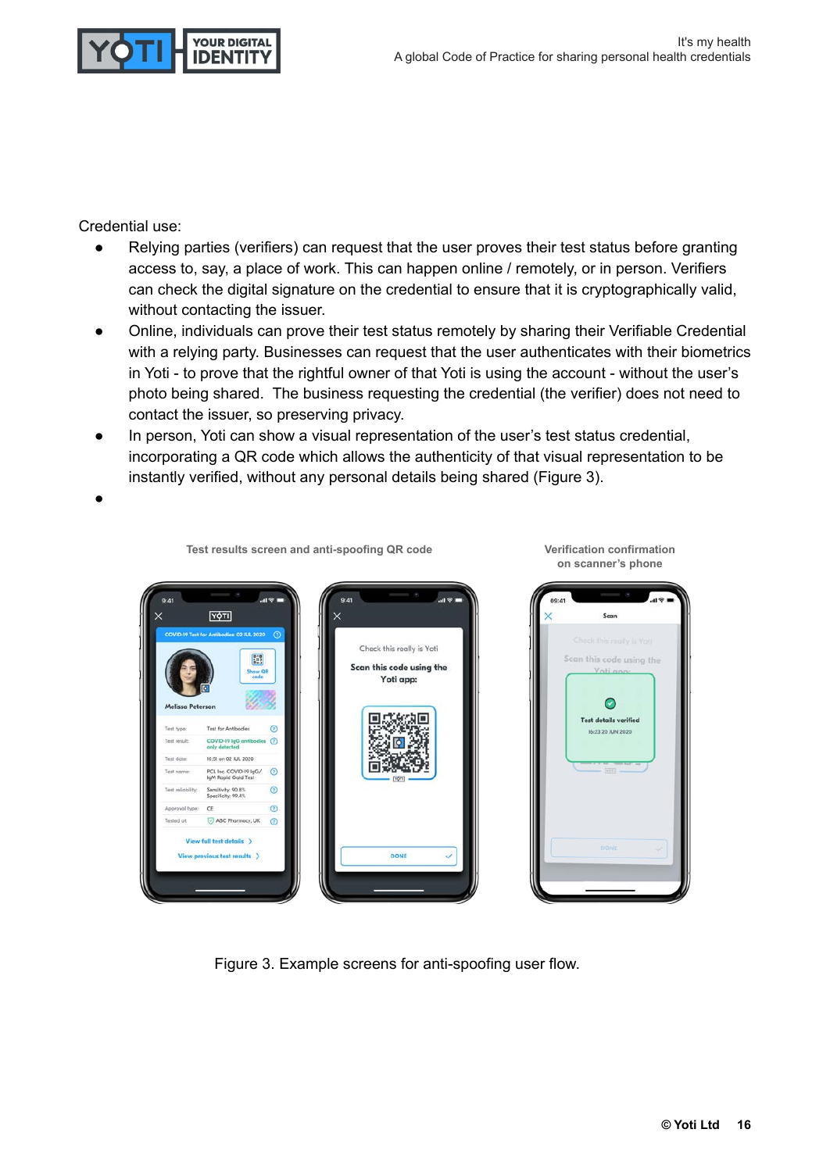

Credential use:

- Relying parties (verifiers) can request that the user proves their test status before granting access to, say, a place of work. This can happen online / remotely, or in person. Verifiers can check the digital signature on the credential to ensure that it is cryptographically valid, without contacting the issuer.
- Online, individuals can prove their test status remotely by sharing their Verifiable Credential with a relying party. Businesses can request that the user authenticates with their biometrics in Yoti - to prove that the rightful owner of that Yoti is using the account - without the user's photo being shared. The business requesting the credential (the verifier) does not need to contact the issuer, so preserving privacy.
- In person, Yoti can show a visual representation of the user's test status credential, incorporating a QR code which allows the authenticity of that visual representation to be instantly verified, without any personal details being shared (Figure 3).

**●**



**Test results screen and anti-spoofing QR code Verification confirmation on scanner's phone**



Figure 3. Example screens for anti-spoofing user flow.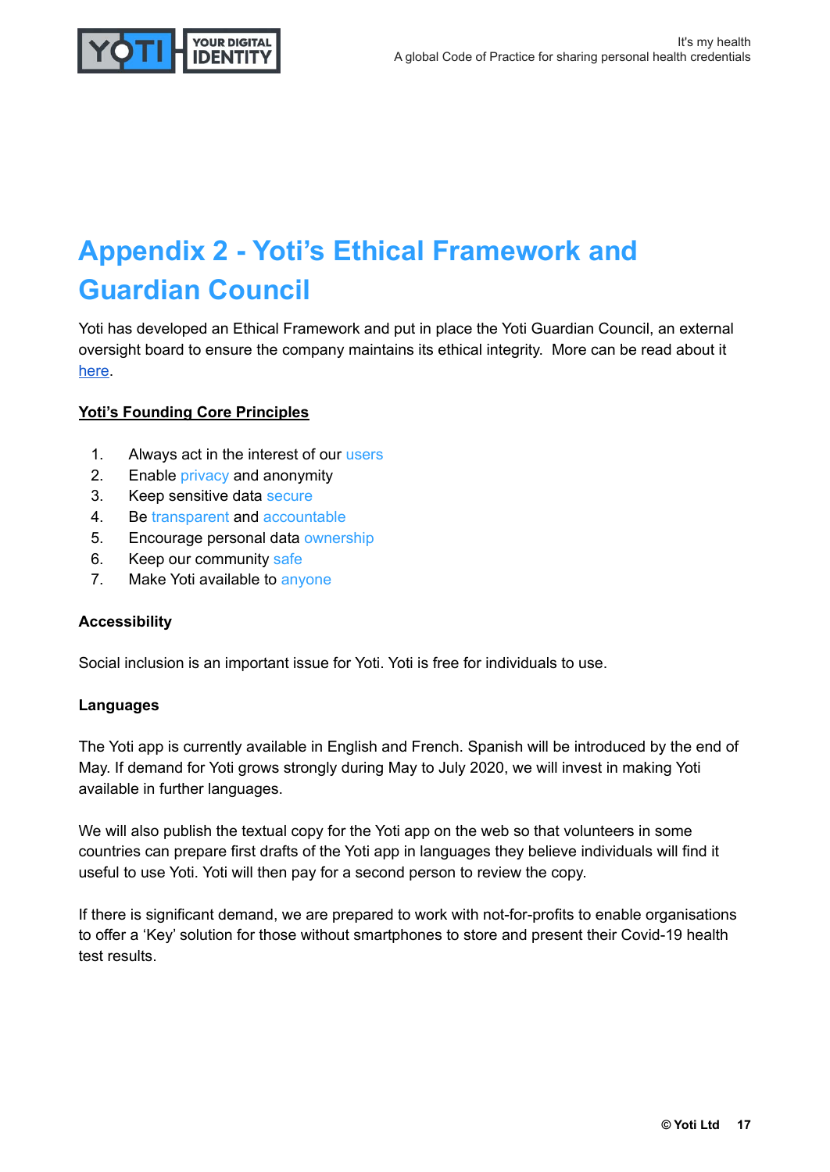

# **Appendix 2 - Yoti's Ethical Framework and Guardian Council**

Yoti has developed an Ethical Framework and put in place the Yoti Guardian Council, an external oversight board to ensure the company maintains its ethical integrity. More can be read about it [here](https://www.yoti.com/ethical-framework).

#### **Yoti's Founding Core Principles**

- 1. Always act in the interest of our users
- 2. Enable privacy and anonymity
- 3. Keep sensitive data secure
- 4. Be transparent and accountable
- 5. Encourage personal data ownership
- 6. Keep our community safe
- 7. Make Yoti available to anyone

#### **Accessibility**

Social inclusion is an important issue for Yoti. Yoti is free for individuals to use.

#### **Languages**

The Yoti app is currently available in English and French. Spanish will be introduced by the end of May. If demand for Yoti grows strongly during May to July 2020, we will invest in making Yoti available in further languages.

We will also publish the textual copy for the Yoti app on the web so that volunteers in some countries can prepare first drafts of the Yoti app in languages they believe individuals will find it useful to use Yoti. Yoti will then pay for a second person to review the copy.

If there is significant demand, we are prepared to work with not-for-profits to enable organisations to offer a 'Key' solution for those without smartphones to store and present their Covid-19 health test results.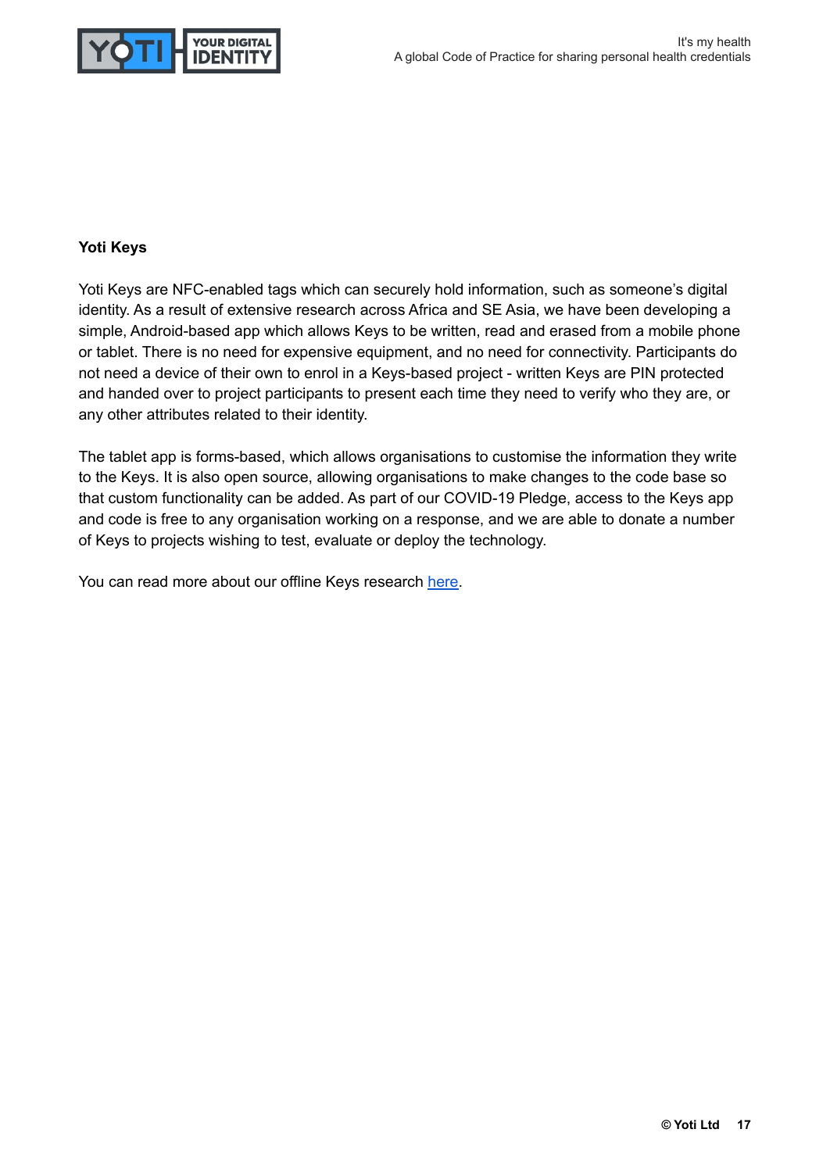

#### **Yoti Keys**

Yoti Keys are NFC-enabled tags which can securely hold information, such as someone's digital identity. As a result of extensive research across Africa and SE Asia, we have been developing a simple, Android-based app which allows Keys to be written, read and erased from a mobile phone or tablet. There is no need for expensive equipment, and no need for connectivity. Participants do not need a device of their own to enrol in a Keys-based project - written Keys are PIN protected and handed over to project participants to present each time they need to verify who they are, or any other attributes related to their identity.

The tablet app is forms-based, which allows organisations to customise the information they write to the Keys. It is also open source, allowing organisations to make changes to the code base so that custom functionality can be added. As part of our COVID-19 Pledge, access to the Keys app and code is free to any organisation working on a response, and we are able to donate a number of Keys to projects wishing to test, evaluate or deploy the technology.

You can read more about our offline Keys research [here.](https://www.yoti.com/blog/grassroots-non-profit-digital-identity-needs-an-overview-of-our-recent-research/)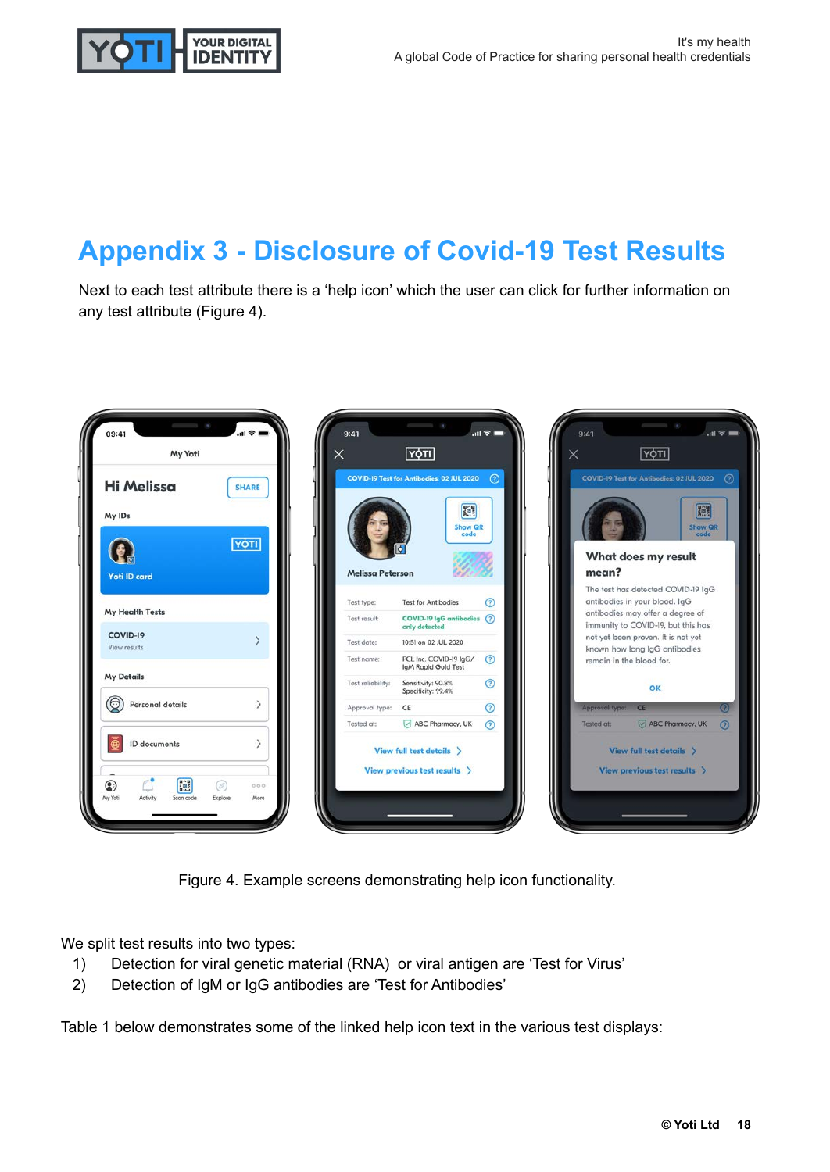

## **Appendix 3 - Disclosure of Covid-19 Test Results**

Next to each test attribute there is a 'help icon' which the user can click for further information on any test attribute (Figure 4).



Figure 4. Example screens demonstrating help icon functionality.

We split test results into two types:

- 1) Detection for viral genetic material (RNA) or viral antigen are 'Test for Virus'
- 2) Detection of IgM or IgG antibodies are 'Test for Antibodies'

Table 1 below demonstrates some of the linked help icon text in the various test displays: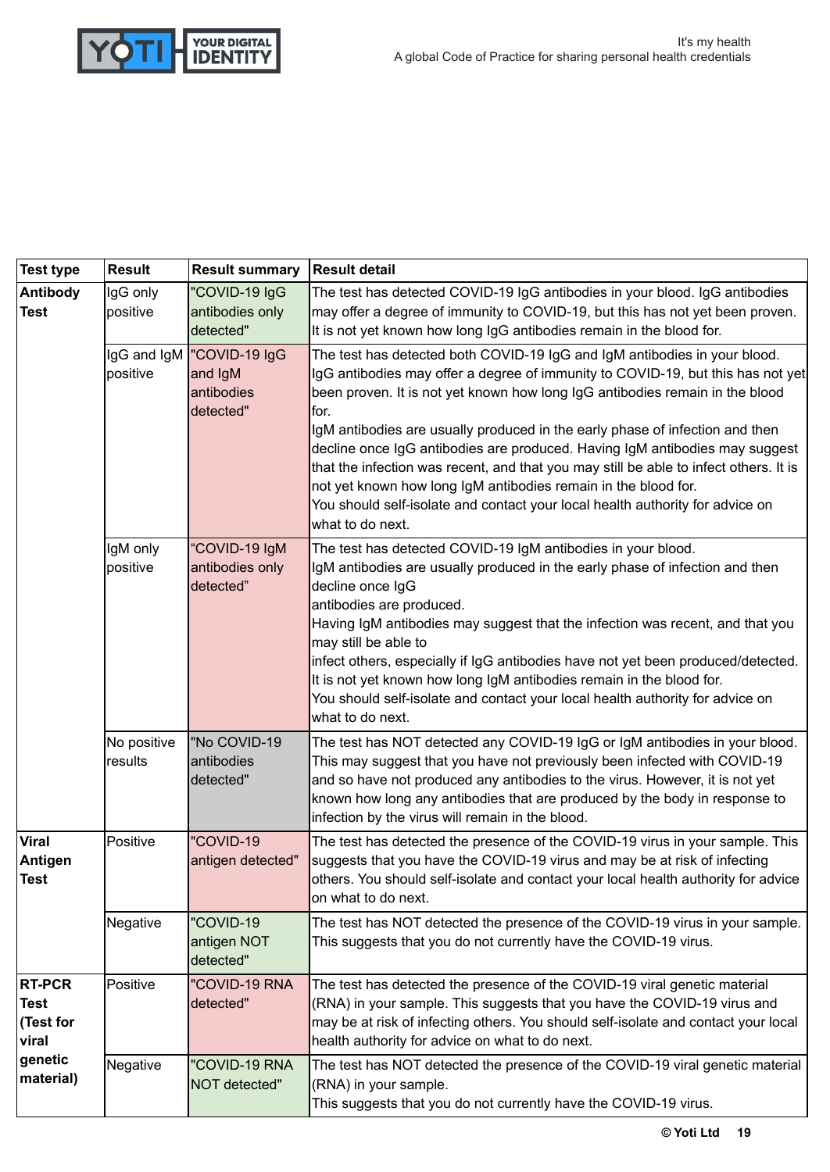

| <b>Test type</b>                                                    | <b>Result</b>          | <b>Result summary</b>                                            | <b>Result detail</b>                                                                                                                                                                                                                                                                                                                                                                                                                                                                                                                                                                                                                                                                 |
|---------------------------------------------------------------------|------------------------|------------------------------------------------------------------|--------------------------------------------------------------------------------------------------------------------------------------------------------------------------------------------------------------------------------------------------------------------------------------------------------------------------------------------------------------------------------------------------------------------------------------------------------------------------------------------------------------------------------------------------------------------------------------------------------------------------------------------------------------------------------------|
| <b>Antibody</b><br><b>Test</b>                                      | IgG only<br>positive   | "COVID-19 IgG<br>antibodies only<br>detected"                    | The test has detected COVID-19 IgG antibodies in your blood. IgG antibodies<br>may offer a degree of immunity to COVID-19, but this has not yet been proven.<br>It is not yet known how long IgG antibodies remain in the blood for.                                                                                                                                                                                                                                                                                                                                                                                                                                                 |
|                                                                     | positive               | IgG and IgM  "COVID-19 IgG<br>and IgM<br>antibodies<br>detected" | The test has detected both COVID-19 IgG and IgM antibodies in your blood.<br>IgG antibodies may offer a degree of immunity to COVID-19, but this has not yet<br>been proven. It is not yet known how long IgG antibodies remain in the blood<br>lfor.<br>IgM antibodies are usually produced in the early phase of infection and then<br>decline once IgG antibodies are produced. Having IgM antibodies may suggest<br>that the infection was recent, and that you may still be able to infect others. It is<br>not yet known how long IgM antibodies remain in the blood for.<br>You should self-isolate and contact your local health authority for advice on<br>what to do next. |
|                                                                     | IgM only<br>positive   | "COVID-19 IgM<br>antibodies only<br>detected"                    | The test has detected COVID-19 IgM antibodies in your blood.<br>IgM antibodies are usually produced in the early phase of infection and then<br>decline once IgG<br>antibodies are produced.<br>Having IgM antibodies may suggest that the infection was recent, and that you<br>may still be able to<br>infect others, especially if IgG antibodies have not yet been produced/detected.<br>It is not yet known how long IgM antibodies remain in the blood for.<br>You should self-isolate and contact your local health authority for advice on<br>what to do next.                                                                                                               |
|                                                                     | No positive<br>results | "No COVID-19<br>antibodies<br>detected"                          | The test has NOT detected any COVID-19 IgG or IgM antibodies in your blood.<br>This may suggest that you have not previously been infected with COVID-19<br>and so have not produced any antibodies to the virus. However, it is not yet<br>known how long any antibodies that are produced by the body in response to<br>infection by the virus will remain in the blood.                                                                                                                                                                                                                                                                                                           |
| <b>Viral</b><br>Antigen<br><b>Test</b>                              | Positive               | "COVID-19<br>antigen detected"                                   | The test has detected the presence of the COVID-19 virus in your sample. This<br>suggests that you have the COVID-19 virus and may be at risk of infecting<br>others. You should self-isolate and contact your local health authority for advice<br>on what to do next.                                                                                                                                                                                                                                                                                                                                                                                                              |
|                                                                     | Negative               | "COVID-19<br>antigen NOT<br>detected"                            | The test has NOT detected the presence of the COVID-19 virus in your sample.<br>This suggests that you do not currently have the COVID-19 virus.                                                                                                                                                                                                                                                                                                                                                                                                                                                                                                                                     |
| <b>RT-PCR</b><br>Test<br>(Test for<br>viral<br>genetic<br>material) | Positive               | "COVID-19 RNA<br>detected"                                       | The test has detected the presence of the COVID-19 viral genetic material<br>(RNA) in your sample. This suggests that you have the COVID-19 virus and<br>may be at risk of infecting others. You should self-isolate and contact your local<br>health authority for advice on what to do next.                                                                                                                                                                                                                                                                                                                                                                                       |
|                                                                     | Negative               | "COVID-19 RNA<br>NOT detected"                                   | The test has NOT detected the presence of the COVID-19 viral genetic material<br>(RNA) in your sample.<br>This suggests that you do not currently have the COVID-19 virus.                                                                                                                                                                                                                                                                                                                                                                                                                                                                                                           |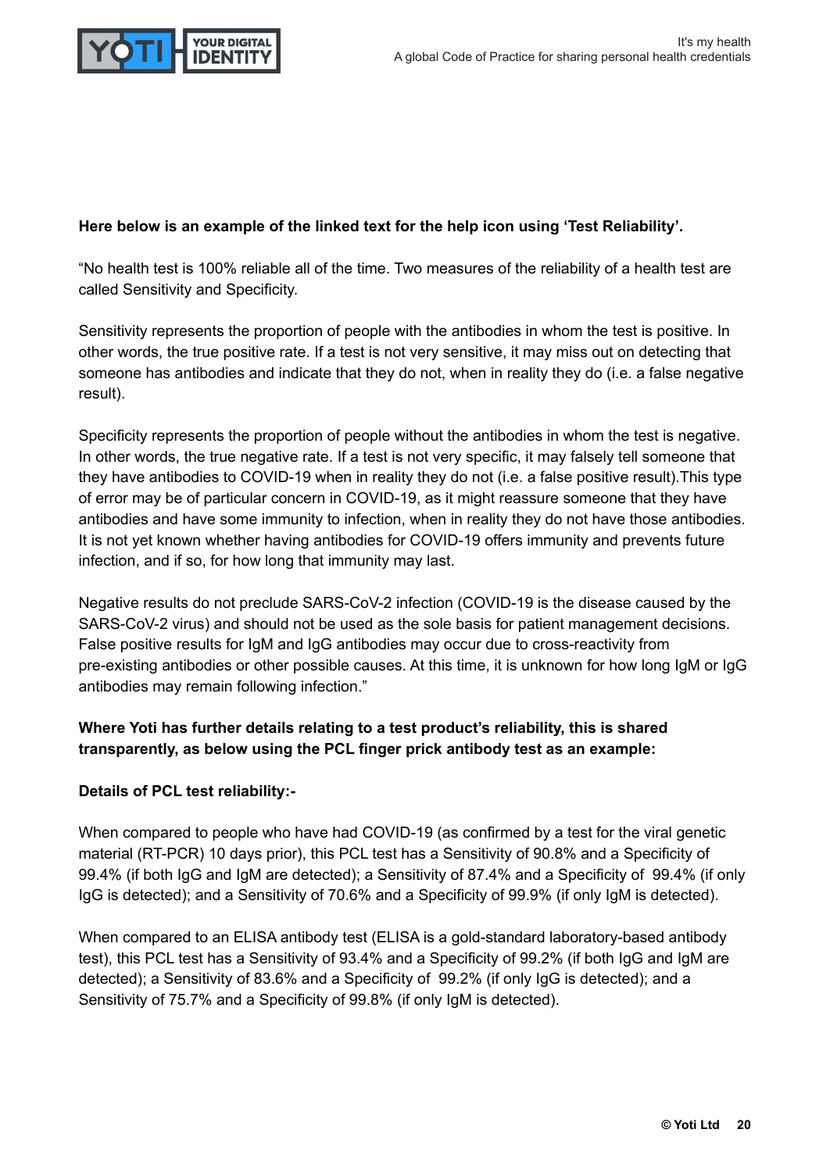

#### **Here below is an example of the linked text for the help icon using 'Test Reliability'.**

"No health test is 100% reliable all of the time. Two measures of the reliability of a health test are called Sensitivity and Specificity.

Sensitivity represents the proportion of people with the antibodies in whom the test is positive. In other words, the true positive rate. If a test is not very sensitive, it may miss out on detecting that someone has antibodies and indicate that they do not, when in reality they do (i.e. a false negative result).

Specificity represents the proportion of people without the antibodies in whom the test is negative. In other words, the true negative rate. If a test is not very specific, it may falsely tell someone that they have antibodies to COVID-19 when in reality they do not (i.e. a false positive result).This type of error may be of particular concern in COVID-19, as it might reassure someone that they have antibodies and have some immunity to infection, when in reality they do not have those antibodies. It is not yet known whether having antibodies for COVID-19 offers immunity and prevents future infection, and if so, for how long that immunity may last.

Negative results do not preclude SARS-CoV-2 infection (COVID-19 is the disease caused by the SARS-CoV-2 virus) and should not be used as the sole basis for patient management decisions. False positive results for IgM and IgG antibodies may occur due to cross-reactivity from pre-existing antibodies or other possible causes. At this time, it is unknown for how long IgM or IgG antibodies may remain following infection."

#### **Where Yoti has further details relating to a test product's reliability, this is shared transparently, as below using the PCL finger prick antibody test as an example:**

#### **Details of PCL test reliability:-**

When compared to people who have had COVID-19 (as confirmed by a test for the viral genetic material (RT-PCR) 10 days prior), this PCL test has a Sensitivity of 90.8% and a Specificity of 99.4% (if both IgG and IgM are detected); a Sensitivity of 87.4% and a Specificity of 99.4% (if only IgG is detected); and a Sensitivity of 70.6% and a Specificity of 99.9% (if only IgM is detected).

When compared to an ELISA antibody test (ELISA is a gold-standard laboratory-based antibody test), this PCL test has a Sensitivity of 93.4% and a Specificity of 99.2% (if both IgG and IgM are detected); a Sensitivity of 83.6% and a Specificity of 99.2% (if only IgG is detected); and a Sensitivity of 75.7% and a Specificity of 99.8% (if only IgM is detected).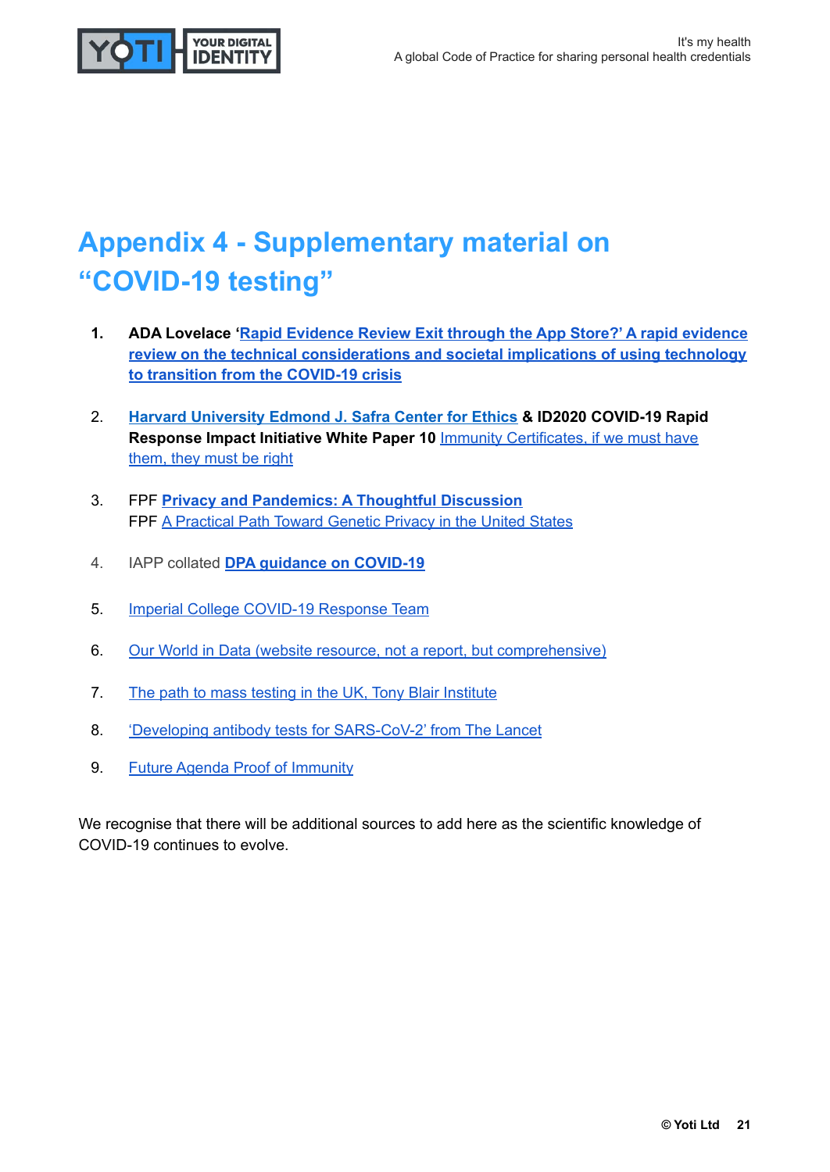

# **Appendix 4 - Supplementary material on "COVID-19 testing"**

- **1. ADA Lovelace '[Rapid Evidence Review Exit through the App Store?' A rapid evidence](https://www.adalovelaceinstitute.org/wp-content/uploads/2020/04/Ada-Lovelace-Institute-Rapid-Evidence-Review-Exit-through-the-App-Store-April-2020-2.pdf) [review on the technical considerations and societal implications of using technology](https://www.adalovelaceinstitute.org/wp-content/uploads/2020/04/Ada-Lovelace-Institute-Rapid-Evidence-Review-Exit-through-the-App-Store-April-2020-2.pdf) [to transition from the COVID-19 crisis](https://www.adalovelaceinstitute.org/wp-content/uploads/2020/04/Ada-Lovelace-Institute-Rapid-Evidence-Review-Exit-through-the-App-Store-April-2020-2.pdf)**
- 2. **[Harvard University Edmond J. Safra Center for Ethics](https://ethics.harvard.edu/immunity-certificates) & ID2020 COVID-19 Rapid Response Impact Initiative White Paper 10 <b>Immunity Certificates**, if we must have [them, they must be right](https://ethics.harvard.edu/files/center-for-ethics/files/10immunitycertificates.pdf)
- 3. FPF **[Privacy and Pandemics: A Thoughtful Discussion](https://fpf.org/2020/03/27/privacy-and-pandemics-a-thoughtful-discussion/)** FPF [A Practical Path Toward Genetic Privacy in the United States](https://fpf.org/wp-content/uploads/2020/04/APracticalPathTowardGeneticPrivacy_April2020.pdf)
- 4. IAPP collated **[DPA guidance on COVID-19](https://iapp.org/resources/article/dpa-guidance-on-covid-19/)**
- 5. [Imperial College COVID-19 Response Team](https://www.imperial.ac.uk/media/imperial-college/medicine/mrc-gida/2020-04-23-COVID19-Report-16.pdf)
- 6. [Our World in Data \(website resource, not a report, but comprehensive\)](https://ourworldindata.org/covid-testing)
- 7. [The path to mass testing in the UK, Tony Blair Institute](https://institute.global/sites/default/files/2020-04/The%20Path%20to%20%20Mass%20Testing%2022.04.pdf)
- 8. ['Developing antibody tests for SARS-CoV-2' from The Lancet](https://www.thelancet.com/journals/lancet/article/PIIS0140-6736(20)30788-1/fulltext)
- 9. [Future Agenda Proof of Immunity](https://www.futureagenda.org/foresights/proof_of_immunity/)

We recognise that there will be additional sources to add here as the scientific knowledge of COVID-19 continues to evolve.